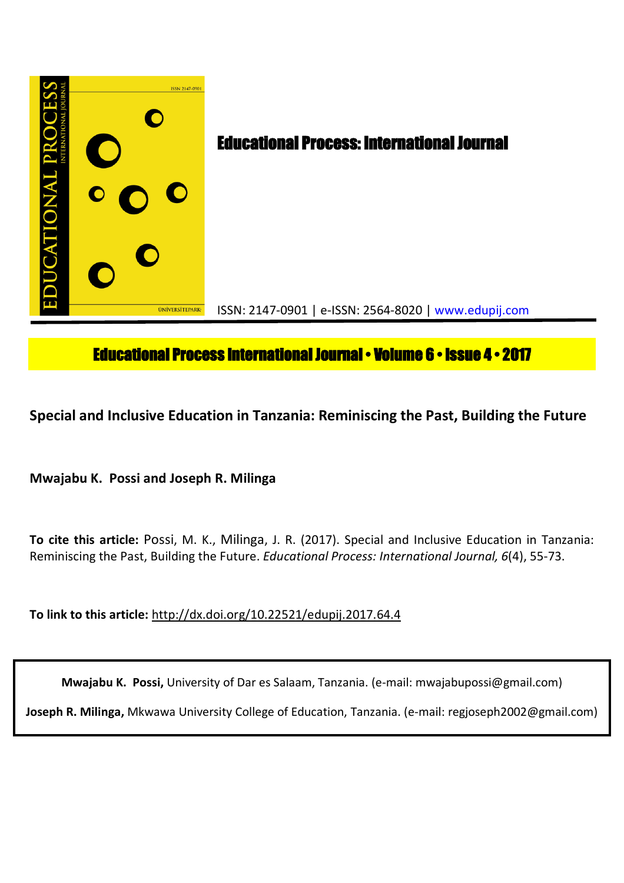

# **Educational Process International Journal • Volume 6 • Issue 4 • 2017**

**Special and Inclusive Education in Tanzania: Reminiscing the Past, Building the Future** 

**Mwajabu K. Possi and Joseph R. Milinga**

**To cite this article:** Possi, M. K., Milinga, J. R. (2017). Special and Inclusive Education in Tanzania: Reminiscing the Past, Building the Future. *Educational Process: International Journal, 6*(4), 55-73.

**To link to this article:** http://dx.doi.org/10.22521/edupij.2017.64.4

**Mwajabu K. Possi,** University of Dar es Salaam, Tanzania. (e-mail: mwajabupossi@gmail.com)

**Joseph R. Milinga,** Mkwawa University College of Education, Tanzania. (e-mail: regjoseph2002@gmail.com)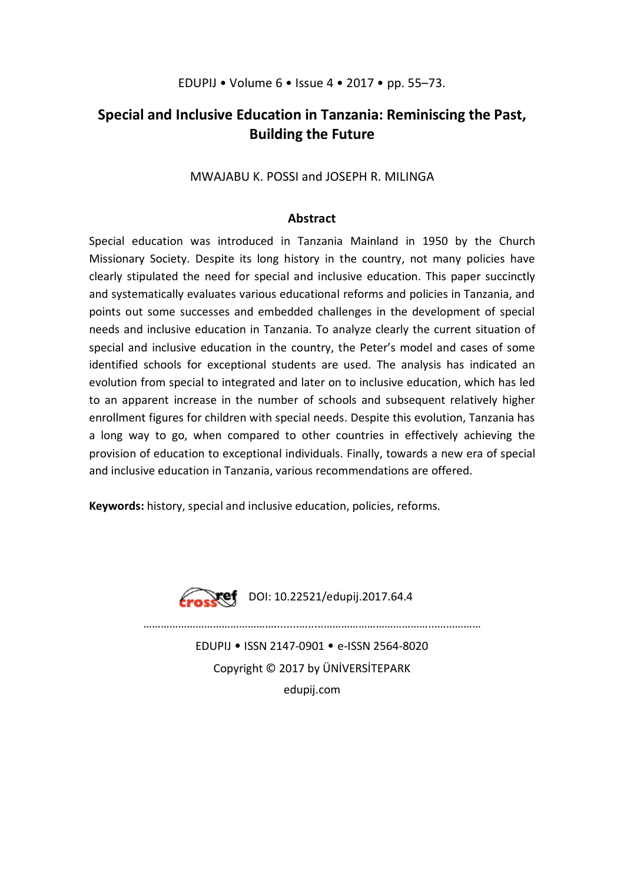# **Special and Inclusive Education in Tanzania: Reminiscing the Past, Building the Future**

# MWAJABU K. POSSI and JOSEPH R. MILINGA

# **Abstract**

Special education was introduced in Tanzania Mainland in 1950 by the Church Missionary Society. Despite its long history in the country, not many policies have clearly stipulated the need for special and inclusive education. This paper succinctly and systematically evaluates various educational reforms and policies in Tanzania, and points out some successes and embedded challenges in the development of special needs and inclusive education in Tanzania. To analyze clearly the current situation of special and inclusive education in the country, the Peter's model and cases of some identified schools for exceptional students are used. The analysis has indicated an evolution from special to integrated and later on to inclusive education, which has led to an apparent increase in the number of schools and subsequent relatively higher enrollment figures for children with special needs. Despite this evolution, Tanzania has a long way to go, when compared to other countries in effectively achieving the provision of education to exceptional individuals. Finally, towards a new era of special and inclusive education in Tanzania, various recommendations are offered.

**Keywords:** history, special and inclusive education, policies, reforms.



DOI: 10.22521/edupij.2017.64.4

………………………………………........….....………………………………...…………… EDUPIJ • ISSN 2147-0901 • e-ISSN 2564-8020 Copyright © 2017 by ÜNİVERSİTEPARK

edupij.com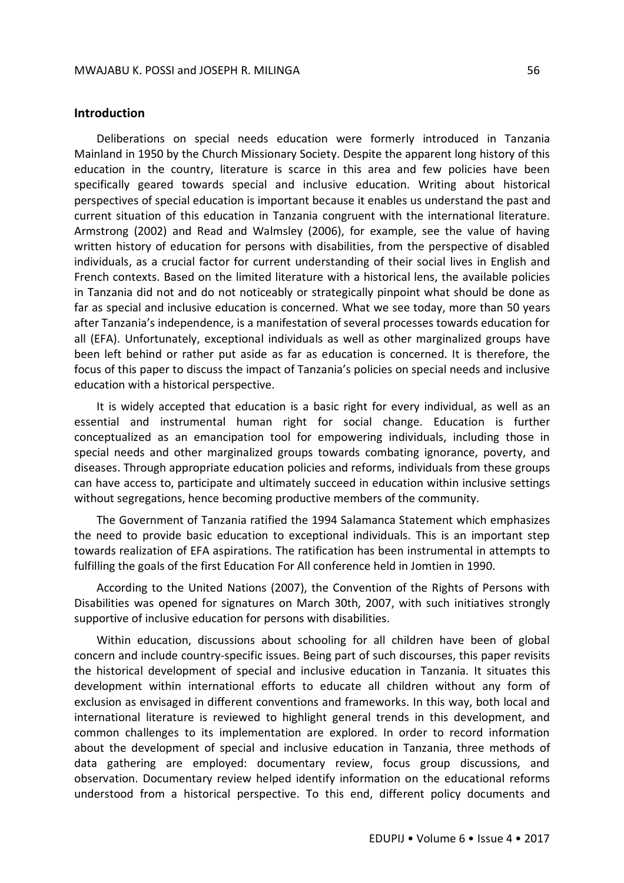## **Introduction**

Deliberations on special needs education were formerly introduced in Tanzania Mainland in 1950 by the Church Missionary Society. Despite the apparent long history of this education in the country, literature is scarce in this area and few policies have been specifically geared towards special and inclusive education. Writing about historical perspectives of special education is important because it enables us understand the past and current situation of this education in Tanzania congruent with the international literature. Armstrong (2002) and Read and Walmsley (2006), for example, see the value of having written history of education for persons with disabilities, from the perspective of disabled individuals, as a crucial factor for current understanding of their social lives in English and French contexts. Based on the limited literature with a historical lens, the available policies in Tanzania did not and do not noticeably or strategically pinpoint what should be done as far as special and inclusive education is concerned. What we see today, more than 50 years after Tanzania's independence, is a manifestation of several processes towards education for all (EFA). Unfortunately, exceptional individuals as well as other marginalized groups have been left behind or rather put aside as far as education is concerned. It is therefore, the focus of this paper to discuss the impact of Tanzania's policies on special needs and inclusive education with a historical perspective.

It is widely accepted that education is a basic right for every individual, as well as an essential and instrumental human right for social change. Education is further conceptualized as an emancipation tool for empowering individuals, including those in special needs and other marginalized groups towards combating ignorance, poverty, and diseases. Through appropriate education policies and reforms, individuals from these groups can have access to, participate and ultimately succeed in education within inclusive settings without segregations, hence becoming productive members of the community.

The Government of Tanzania ratified the 1994 Salamanca Statement which emphasizes the need to provide basic education to exceptional individuals. This is an important step towards realization of EFA aspirations. The ratification has been instrumental in attempts to fulfilling the goals of the first Education For All conference held in Jomtien in 1990.

According to the United Nations (2007), the Convention of the Rights of Persons with Disabilities was opened for signatures on March 30th, 2007, with such initiatives strongly supportive of inclusive education for persons with disabilities.

Within education, discussions about schooling for all children have been of global concern and include country-specific issues. Being part of such discourses, this paper revisits the historical development of special and inclusive education in Tanzania. It situates this development within international efforts to educate all children without any form of exclusion as envisaged in different conventions and frameworks. In this way, both local and international literature is reviewed to highlight general trends in this development, and common challenges to its implementation are explored. In order to record information about the development of special and inclusive education in Tanzania, three methods of data gathering are employed: documentary review, focus group discussions, and observation. Documentary review helped identify information on the educational reforms understood from a historical perspective. To this end, different policy documents and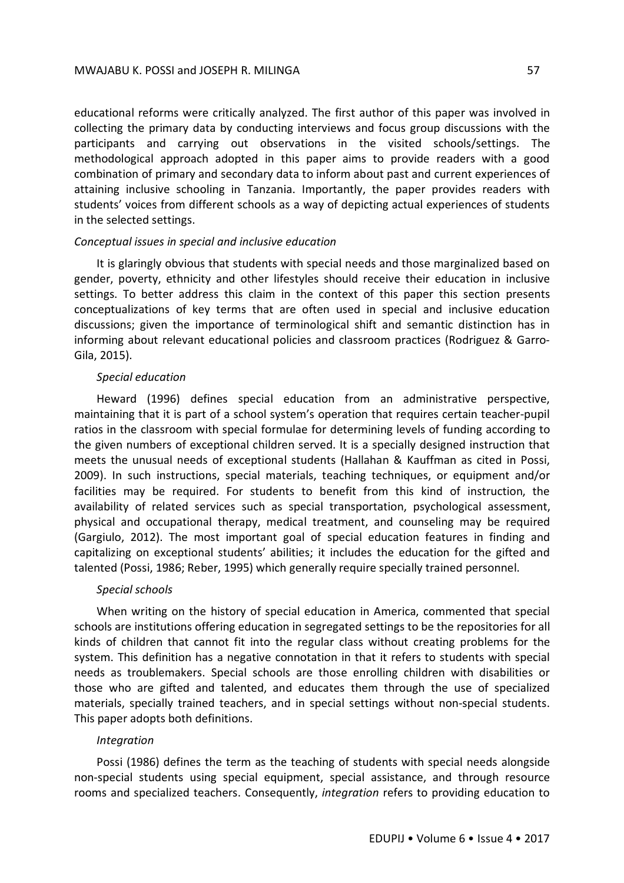educational reforms were critically analyzed. The first author of this paper was involved in collecting the primary data by conducting interviews and focus group discussions with the participants and carrying out observations in the visited schools/settings. The methodological approach adopted in this paper aims to provide readers with a good combination of primary and secondary data to inform about past and current experiences of attaining inclusive schooling in Tanzania. Importantly, the paper provides readers with students' voices from different schools as a way of depicting actual experiences of students in the selected settings.

#### *Conceptual issues in special and inclusive education*

It is glaringly obvious that students with special needs and those marginalized based on gender, poverty, ethnicity and other lifestyles should receive their education in inclusive settings. To better address this claim in the context of this paper this section presents conceptualizations of key terms that are often used in special and inclusive education discussions; given the importance of terminological shift and semantic distinction has in informing about relevant educational policies and classroom practices (Rodriguez & Garro-Gila, 2015).

#### *Special education*

Heward (1996) defines special education from an administrative perspective, maintaining that it is part of a school system's operation that requires certain teacher-pupil ratios in the classroom with special formulae for determining levels of funding according to the given numbers of exceptional children served. It is a specially designed instruction that meets the unusual needs of exceptional students (Hallahan & Kauffman as cited in Possi, 2009). In such instructions, special materials, teaching techniques, or equipment and/or facilities may be required. For students to benefit from this kind of instruction, the availability of related services such as special transportation, psychological assessment, physical and occupational therapy, medical treatment, and counseling may be required (Gargiulo, 2012). The most important goal of special education features in finding and capitalizing on exceptional students' abilities; it includes the education for the gifted and talented (Possi, 1986; Reber, 1995) which generally require specially trained personnel.

#### *Special schools*

When writing on the history of special education in America, commented that special schools are institutions offering education in segregated settings to be the repositories for all kinds of children that cannot fit into the regular class without creating problems for the system. This definition has a negative connotation in that it refers to students with special needs as troublemakers. Special schools are those enrolling children with disabilities or those who are gifted and talented, and educates them through the use of specialized materials, specially trained teachers, and in special settings without non-special students. This paper adopts both definitions.

#### *Integration*

Possi (1986) defines the term as the teaching of students with special needs alongside non-special students using special equipment, special assistance, and through resource rooms and specialized teachers. Consequently, *integration* refers to providing education to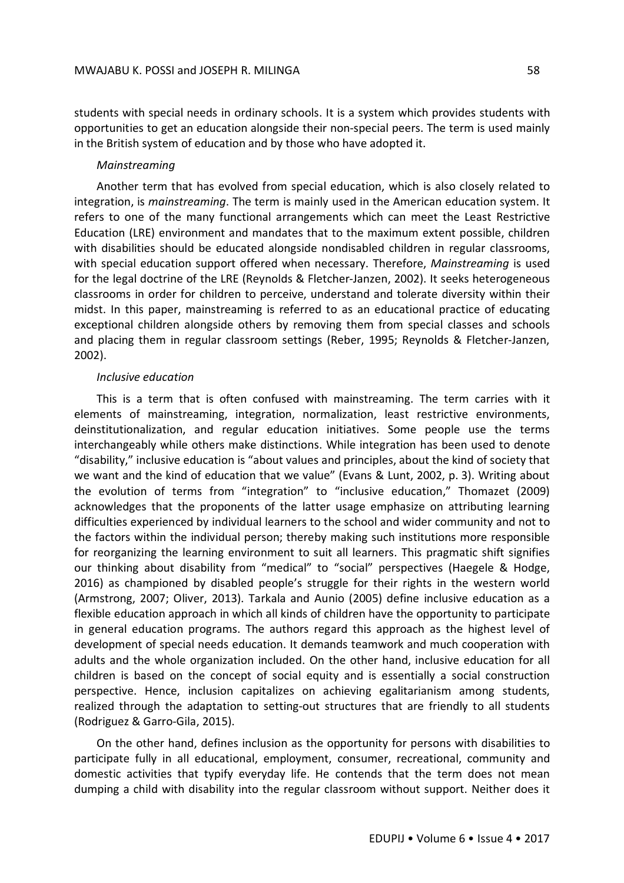students with special needs in ordinary schools. It is a system which provides students with opportunities to get an education alongside their non-special peers. The term is used mainly in the British system of education and by those who have adopted it.

#### *Mainstreaming*

Another term that has evolved from special education, which is also closely related to integration, is *mainstreaming*. The term is mainly used in the American education system. It refers to one of the many functional arrangements which can meet the Least Restrictive Education (LRE) environment and mandates that to the maximum extent possible, children with disabilities should be educated alongside nondisabled children in regular classrooms, with special education support offered when necessary. Therefore, *Mainstreaming* is used for the legal doctrine of the LRE (Reynolds & Fletcher-Janzen, 2002). It seeks heterogeneous classrooms in order for children to perceive, understand and tolerate diversity within their midst. In this paper, mainstreaming is referred to as an educational practice of educating exceptional children alongside others by removing them from special classes and schools and placing them in regular classroom settings (Reber, 1995; Reynolds & Fletcher-Janzen, 2002).

### *Inclusive education*

This is a term that is often confused with mainstreaming. The term carries with it elements of mainstreaming, integration, normalization, least restrictive environments, deinstitutionalization, and regular education initiatives. Some people use the terms interchangeably while others make distinctions. While integration has been used to denote "disability," inclusive education is "about values and principles, about the kind of society that we want and the kind of education that we value" (Evans & Lunt, 2002, p. 3). Writing about the evolution of terms from "integration" to "inclusive education," Thomazet (2009) acknowledges that the proponents of the latter usage emphasize on attributing learning difficulties experienced by individual learners to the school and wider community and not to the factors within the individual person; thereby making such institutions more responsible for reorganizing the learning environment to suit all learners. This pragmatic shift signifies our thinking about disability from "medical" to "social" perspectives (Haegele & Hodge, 2016) as championed by disabled people's struggle for their rights in the western world (Armstrong, 2007; Oliver, 2013). Tarkala and Aunio (2005) define inclusive education as a flexible education approach in which all kinds of children have the opportunity to participate in general education programs. The authors regard this approach as the highest level of development of special needs education. It demands teamwork and much cooperation with adults and the whole organization included. On the other hand, inclusive education for all children is based on the concept of social equity and is essentially a social construction perspective. Hence, inclusion capitalizes on achieving egalitarianism among students, realized through the adaptation to setting-out structures that are friendly to all students (Rodriguez & Garro-Gila, 2015).

On the other hand, defines inclusion as the opportunity for persons with disabilities to participate fully in all educational, employment, consumer, recreational, community and domestic activities that typify everyday life. He contends that the term does not mean dumping a child with disability into the regular classroom without support. Neither does it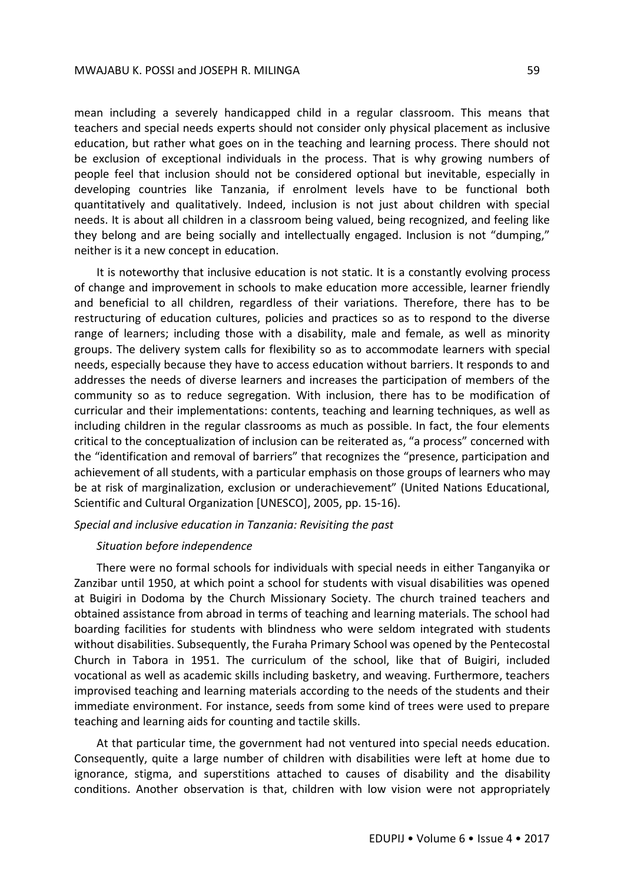#### MWAJABU K. POSSI and JOSEPH R. MILINGA 59

mean including a severely handicapped child in a regular classroom. This means that teachers and special needs experts should not consider only physical placement as inclusive education, but rather what goes on in the teaching and learning process. There should not be exclusion of exceptional individuals in the process. That is why growing numbers of people feel that inclusion should not be considered optional but inevitable, especially in developing countries like Tanzania, if enrolment levels have to be functional both quantitatively and qualitatively. Indeed, inclusion is not just about children with special needs. It is about all children in a classroom being valued, being recognized, and feeling like they belong and are being socially and intellectually engaged. Inclusion is not "dumping," neither is it a new concept in education.

It is noteworthy that inclusive education is not static. It is a constantly evolving process of change and improvement in schools to make education more accessible, learner friendly and beneficial to all children, regardless of their variations. Therefore, there has to be restructuring of education cultures, policies and practices so as to respond to the diverse range of learners; including those with a disability, male and female, as well as minority groups. The delivery system calls for flexibility so as to accommodate learners with special needs, especially because they have to access education without barriers. It responds to and addresses the needs of diverse learners and increases the participation of members of the community so as to reduce segregation. With inclusion, there has to be modification of curricular and their implementations: contents, teaching and learning techniques, as well as including children in the regular classrooms as much as possible. In fact, the four elements critical to the conceptualization of inclusion can be reiterated as, "a process" concerned with the "identification and removal of barriers" that recognizes the "presence, participation and achievement of all students, with a particular emphasis on those groups of learners who may be at risk of marginalization, exclusion or underachievement" (United Nations Educational, Scientific and Cultural Organization [UNESCO], 2005, pp. 15-16).

*Special and inclusive education in Tanzania: Revisiting the past*

#### *Situation before independence*

There were no formal schools for individuals with special needs in either Tanganyika or Zanzibar until 1950, at which point a school for students with visual disabilities was opened at Buigiri in Dodoma by the Church Missionary Society. The church trained teachers and obtained assistance from abroad in terms of teaching and learning materials. The school had boarding facilities for students with blindness who were seldom integrated with students without disabilities. Subsequently, the Furaha Primary School was opened by the Pentecostal Church in Tabora in 1951. The curriculum of the school, like that of Buigiri, included vocational as well as academic skills including basketry, and weaving. Furthermore, teachers improvised teaching and learning materials according to the needs of the students and their immediate environment. For instance, seeds from some kind of trees were used to prepare teaching and learning aids for counting and tactile skills.

At that particular time, the government had not ventured into special needs education. Consequently, quite a large number of children with disabilities were left at home due to ignorance, stigma, and superstitions attached to causes of disability and the disability conditions. Another observation is that, children with low vision were not appropriately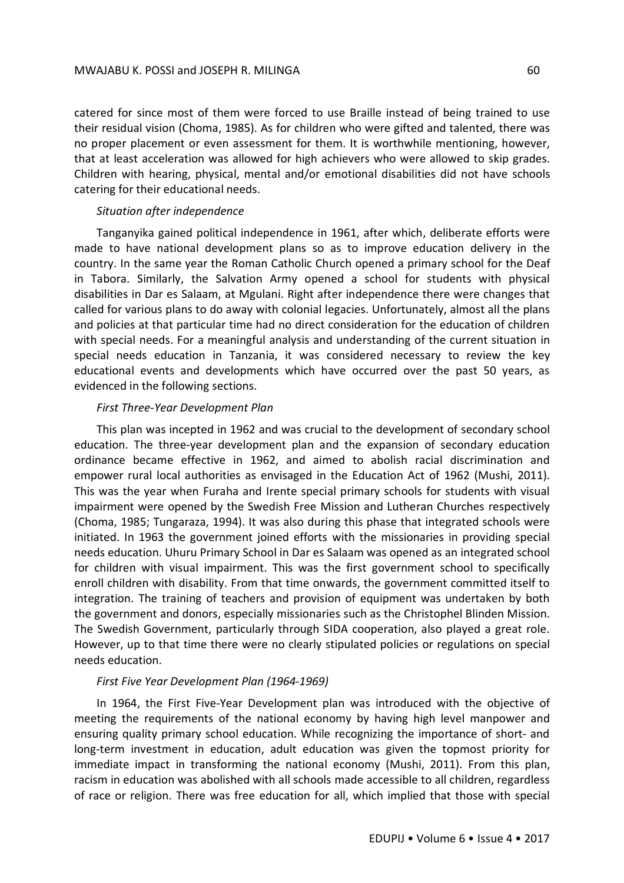catered for since most of them were forced to use Braille instead of being trained to use their residual vision (Choma, 1985). As for children who were gifted and talented, there was no proper placement or even assessment for them. It is worthwhile mentioning, however, that at least acceleration was allowed for high achievers who were allowed to skip grades. Children with hearing, physical, mental and/or emotional disabilities did not have schools catering for their educational needs.

#### *Situation after independence*

Tanganyika gained political independence in 1961, after which, deliberate efforts were made to have national development plans so as to improve education delivery in the country. In the same year the Roman Catholic Church opened a primary school for the Deaf in Tabora. Similarly, the Salvation Army opened a school for students with physical disabilities in Dar es Salaam, at Mgulani. Right after independence there were changes that called for various plans to do away with colonial legacies. Unfortunately, almost all the plans and policies at that particular time had no direct consideration for the education of children with special needs. For a meaningful analysis and understanding of the current situation in special needs education in Tanzania, it was considered necessary to review the key educational events and developments which have occurred over the past 50 years, as evidenced in the following sections.

### *First Three-Year Development Plan*

This plan was incepted in 1962 and was crucial to the development of secondary school education. The three-year development plan and the expansion of secondary education ordinance became effective in 1962, and aimed to abolish racial discrimination and empower rural local authorities as envisaged in the Education Act of 1962 (Mushi, 2011). This was the year when Furaha and Irente special primary schools for students with visual impairment were opened by the Swedish Free Mission and Lutheran Churches respectively (Choma, 1985; Tungaraza, 1994). It was also during this phase that integrated schools were initiated. In 1963 the government joined efforts with the missionaries in providing special needs education. Uhuru Primary School in Dar es Salaam was opened as an integrated school for children with visual impairment. This was the first government school to specifically enroll children with disability. From that time onwards, the government committed itself to integration. The training of teachers and provision of equipment was undertaken by both the government and donors, especially missionaries such as the Christophel Blinden Mission. The Swedish Government, particularly through SIDA cooperation, also played a great role. However, up to that time there were no clearly stipulated policies or regulations on special needs education.

### *First Five Year Development Plan (1964-1969)*

In 1964, the First Five-Year Development plan was introduced with the objective of meeting the requirements of the national economy by having high level manpower and ensuring quality primary school education. While recognizing the importance of short- and long-term investment in education, adult education was given the topmost priority for immediate impact in transforming the national economy (Mushi, 2011). From this plan, racism in education was abolished with all schools made accessible to all children, regardless of race or religion. There was free education for all, which implied that those with special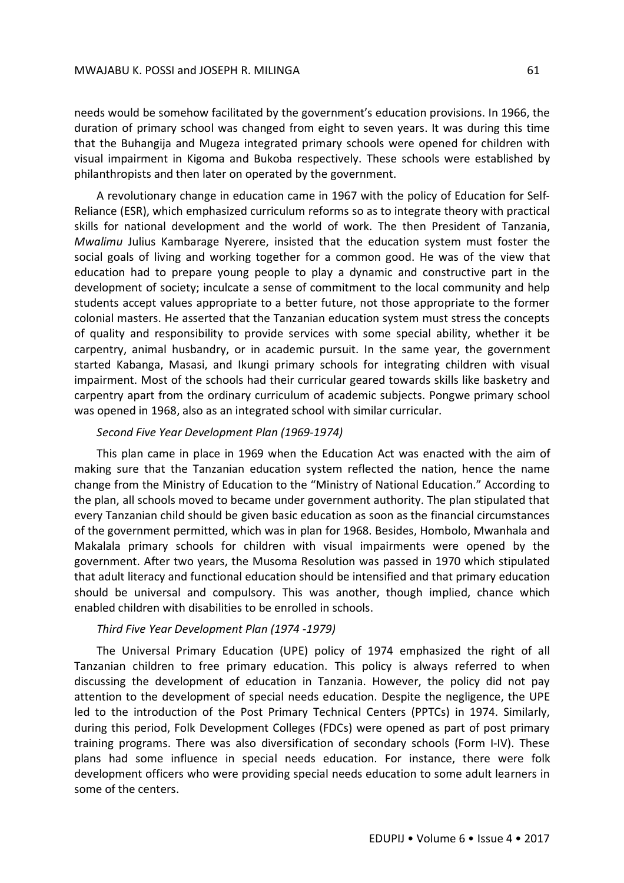needs would be somehow facilitated by the government's education provisions. In 1966, the duration of primary school was changed from eight to seven years. It was during this time that the Buhangija and Mugeza integrated primary schools were opened for children with visual impairment in Kigoma and Bukoba respectively. These schools were established by philanthropists and then later on operated by the government.

A revolutionary change in education came in 1967 with the policy of Education for Self-Reliance (ESR), which emphasized curriculum reforms so as to integrate theory with practical skills for national development and the world of work. The then President of Tanzania, *Mwalimu* Julius Kambarage Nyerere, insisted that the education system must foster the social goals of living and working together for a common good. He was of the view that education had to prepare young people to play a dynamic and constructive part in the development of society; inculcate a sense of commitment to the local community and help students accept values appropriate to a better future, not those appropriate to the former colonial masters. He asserted that the Tanzanian education system must stress the concepts of quality and responsibility to provide services with some special ability, whether it be carpentry, animal husbandry, or in academic pursuit. In the same year, the government started Kabanga, Masasi, and Ikungi primary schools for integrating children with visual impairment. Most of the schools had their curricular geared towards skills like basketry and carpentry apart from the ordinary curriculum of academic subjects. Pongwe primary school was opened in 1968, also as an integrated school with similar curricular.

### *Second Five Year Development Plan (1969-1974)*

This plan came in place in 1969 when the Education Act was enacted with the aim of making sure that the Tanzanian education system reflected the nation, hence the name change from the Ministry of Education to the "Ministry of National Education." According to the plan, all schools moved to became under government authority. The plan stipulated that every Tanzanian child should be given basic education as soon as the financial circumstances of the government permitted, which was in plan for 1968. Besides, Hombolo, Mwanhala and Makalala primary schools for children with visual impairments were opened by the government. After two years, the Musoma Resolution was passed in 1970 which stipulated that adult literacy and functional education should be intensified and that primary education should be universal and compulsory. This was another, though implied, chance which enabled children with disabilities to be enrolled in schools.

## *Third Five Year Development Plan (1974 -1979)*

The Universal Primary Education (UPE) policy of 1974 emphasized the right of all Tanzanian children to free primary education. This policy is always referred to when discussing the development of education in Tanzania. However, the policy did not pay attention to the development of special needs education. Despite the negligence, the UPE led to the introduction of the Post Primary Technical Centers (PPTCs) in 1974. Similarly, during this period, Folk Development Colleges (FDCs) were opened as part of post primary training programs. There was also diversification of secondary schools (Form I-IV). These plans had some influence in special needs education. For instance, there were folk development officers who were providing special needs education to some adult learners in some of the centers.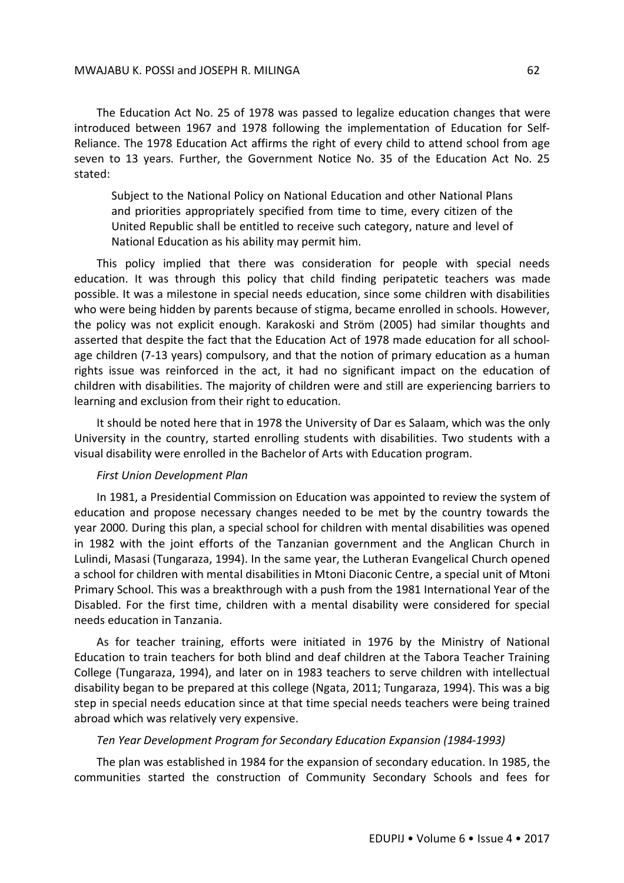The Education Act No. 25 of 1978 was passed to legalize education changes that were introduced between 1967 and 1978 following the implementation of Education for Self-Reliance. The 1978 Education Act affirms the right of every child to attend school from age seven to 13 years. Further, the Government Notice No. 35 of the Education Act No. 25 stated:

Subject to the National Policy on National Education and other National Plans and priorities appropriately specified from time to time, every citizen of the United Republic shall be entitled to receive such category, nature and level of National Education as his ability may permit him.

This policy implied that there was consideration for people with special needs education. It was through this policy that child finding peripatetic teachers was made possible. It was a milestone in special needs education, since some children with disabilities who were being hidden by parents because of stigma, became enrolled in schools. However, the policy was not explicit enough. Karakoski and Ström (2005) had similar thoughts and asserted that despite the fact that the Education Act of 1978 made education for all schoolage children (7-13 years) compulsory, and that the notion of primary education as a human rights issue was reinforced in the act, it had no significant impact on the education of children with disabilities. The majority of children were and still are experiencing barriers to learning and exclusion from their right to education.

It should be noted here that in 1978 the University of Dar es Salaam, which was the only University in the country, started enrolling students with disabilities. Two students with a visual disability were enrolled in the Bachelor of Arts with Education program.

#### *First Union Development Plan*

In 1981, a Presidential Commission on Education was appointed to review the system of education and propose necessary changes needed to be met by the country towards the year 2000. During this plan, a special school for children with mental disabilities was opened in 1982 with the joint efforts of the Tanzanian government and the Anglican Church in Lulindi, Masasi (Tungaraza, 1994). In the same year, the Lutheran Evangelical Church opened a school for children with mental disabilities in Mtoni Diaconic Centre, a special unit of Mtoni Primary School. This was a breakthrough with a push from the 1981 International Year of the Disabled. For the first time, children with a mental disability were considered for special needs education in Tanzania.

As for teacher training, efforts were initiated in 1976 by the Ministry of National Education to train teachers for both blind and deaf children at the Tabora Teacher Training College (Tungaraza, 1994), and later on in 1983 teachers to serve children with intellectual disability began to be prepared at this college (Ngata, 2011; Tungaraza, 1994). This was a big step in special needs education since at that time special needs teachers were being trained abroad which was relatively very expensive.

#### *Ten Year Development Program for Secondary Education Expansion (1984-1993)*

The plan was established in 1984 for the expansion of secondary education. In 1985, the communities started the construction of Community Secondary Schools and fees for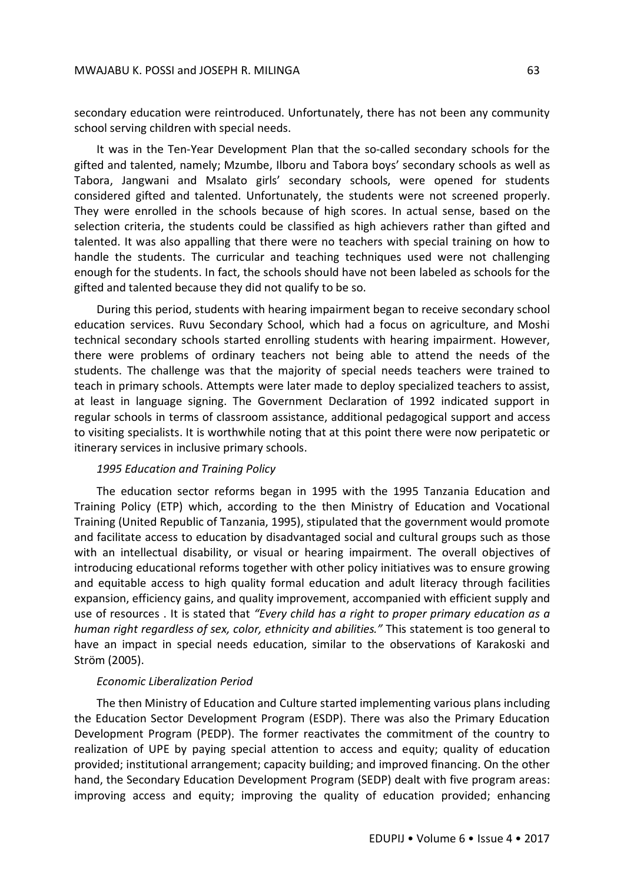secondary education were reintroduced. Unfortunately, there has not been any community school serving children with special needs.

It was in the Ten-Year Development Plan that the so-called secondary schools for the gifted and talented, namely; Mzumbe, Ilboru and Tabora boys' secondary schools as well as Tabora, Jangwani and Msalato girls' secondary schools, were opened for students considered gifted and talented. Unfortunately, the students were not screened properly. They were enrolled in the schools because of high scores. In actual sense, based on the selection criteria, the students could be classified as high achievers rather than gifted and talented. It was also appalling that there were no teachers with special training on how to handle the students. The curricular and teaching techniques used were not challenging enough for the students. In fact, the schools should have not been labeled as schools for the gifted and talented because they did not qualify to be so.

During this period, students with hearing impairment began to receive secondary school education services. Ruvu Secondary School, which had a focus on agriculture, and Moshi technical secondary schools started enrolling students with hearing impairment. However, there were problems of ordinary teachers not being able to attend the needs of the students. The challenge was that the majority of special needs teachers were trained to teach in primary schools. Attempts were later made to deploy specialized teachers to assist, at least in language signing. The Government Declaration of 1992 indicated support in regular schools in terms of classroom assistance, additional pedagogical support and access to visiting specialists. It is worthwhile noting that at this point there were now peripatetic or itinerary services in inclusive primary schools.

#### *1995 Education and Training Policy*

The education sector reforms began in 1995 with the 1995 Tanzania Education and Training Policy (ETP) which, according to the then Ministry of Education and Vocational Training (United Republic of Tanzania, 1995), stipulated that the government would promote and facilitate access to education by disadvantaged social and cultural groups such as those with an intellectual disability, or visual or hearing impairment. The overall objectives of introducing educational reforms together with other policy initiatives was to ensure growing and equitable access to high quality formal education and adult literacy through facilities expansion, efficiency gains, and quality improvement, accompanied with efficient supply and use of resources . It is stated that *"Every child has a right to proper primary education as a human right regardless of sex, color, ethnicity and abilities."* This statement is too general to have an impact in special needs education, similar to the observations of Karakoski and Ström (2005).

#### *Economic Liberalization Period*

The then Ministry of Education and Culture started implementing various plans including the Education Sector Development Program (ESDP). There was also the Primary Education Development Program (PEDP). The former reactivates the commitment of the country to realization of UPE by paying special attention to access and equity; quality of education provided; institutional arrangement; capacity building; and improved financing. On the other hand, the Secondary Education Development Program (SEDP) dealt with five program areas: improving access and equity; improving the quality of education provided; enhancing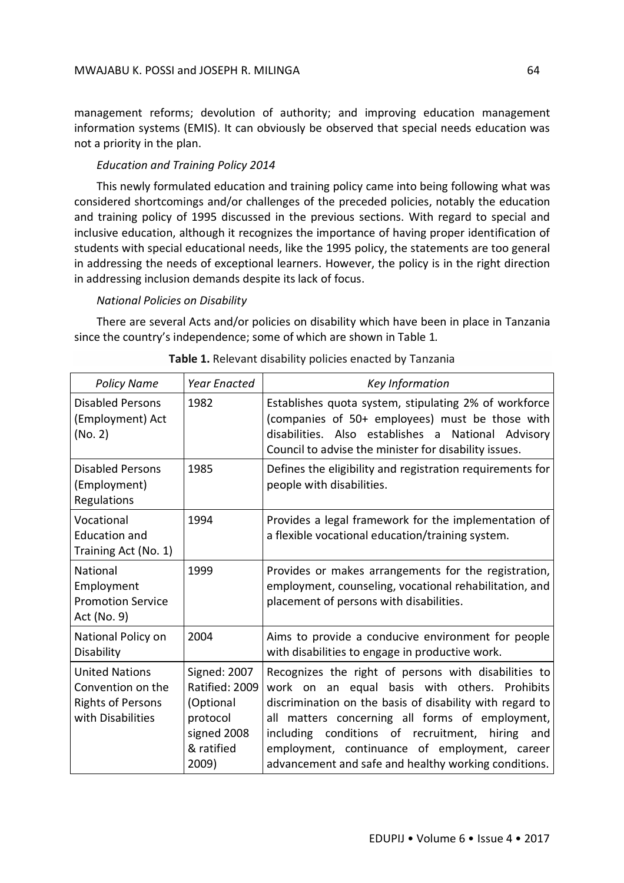management reforms; devolution of authority; and improving education management information systems (EMIS). It can obviously be observed that special needs education was not a priority in the plan.

# *Education and Training Policy 2014*

This newly formulated education and training policy came into being following what was considered shortcomings and/or challenges of the preceded policies, notably the education and training policy of 1995 discussed in the previous sections. With regard to special and inclusive education, although it recognizes the importance of having proper identification of students with special educational needs, like the 1995 policy, the statements are too general in addressing the needs of exceptional learners. However, the policy is in the right direction in addressing inclusion demands despite its lack of focus.

# *National Policies on Disability*

There are several Acts and/or policies on disability which have been in place in Tanzania since the country's independence; some of which are shown in Table 1*.*

| <b>Policy Name</b>                                                                          | <b>Year Enacted</b>                                                                           | Key Information                                                                                                                                                                                                                                                                                                                                                                        |
|---------------------------------------------------------------------------------------------|-----------------------------------------------------------------------------------------------|----------------------------------------------------------------------------------------------------------------------------------------------------------------------------------------------------------------------------------------------------------------------------------------------------------------------------------------------------------------------------------------|
| Disabled Persons<br>(Employment) Act<br>(No. 2)                                             | 1982                                                                                          | Establishes quota system, stipulating 2% of workforce<br>(companies of 50+ employees) must be those with<br>disabilities. Also establishes a National Advisory<br>Council to advise the minister for disability issues.                                                                                                                                                                |
| Disabled Persons<br>(Employment)<br>Regulations                                             | 1985                                                                                          | Defines the eligibility and registration requirements for<br>people with disabilities.                                                                                                                                                                                                                                                                                                 |
| Vocational<br><b>Education and</b><br>Training Act (No. 1)                                  | 1994                                                                                          | Provides a legal framework for the implementation of<br>a flexible vocational education/training system.                                                                                                                                                                                                                                                                               |
| <b>National</b><br>Employment<br><b>Promotion Service</b><br>Act (No. 9)                    | 1999                                                                                          | Provides or makes arrangements for the registration,<br>employment, counseling, vocational rehabilitation, and<br>placement of persons with disabilities.                                                                                                                                                                                                                              |
| National Policy on<br>Disability                                                            | 2004                                                                                          | Aims to provide a conducive environment for people<br>with disabilities to engage in productive work.                                                                                                                                                                                                                                                                                  |
| <b>United Nations</b><br>Convention on the<br><b>Rights of Persons</b><br>with Disabilities | Signed: 2007<br>Ratified: 2009<br>(Optional<br>protocol<br>signed 2008<br>& ratified<br>2009) | Recognizes the right of persons with disabilities to<br>work on an equal basis with others. Prohibits<br>discrimination on the basis of disability with regard to<br>all matters concerning all forms of employment,<br>including conditions of recruitment,<br>hiring<br>and<br>employment, continuance of employment, career<br>advancement and safe and healthy working conditions. |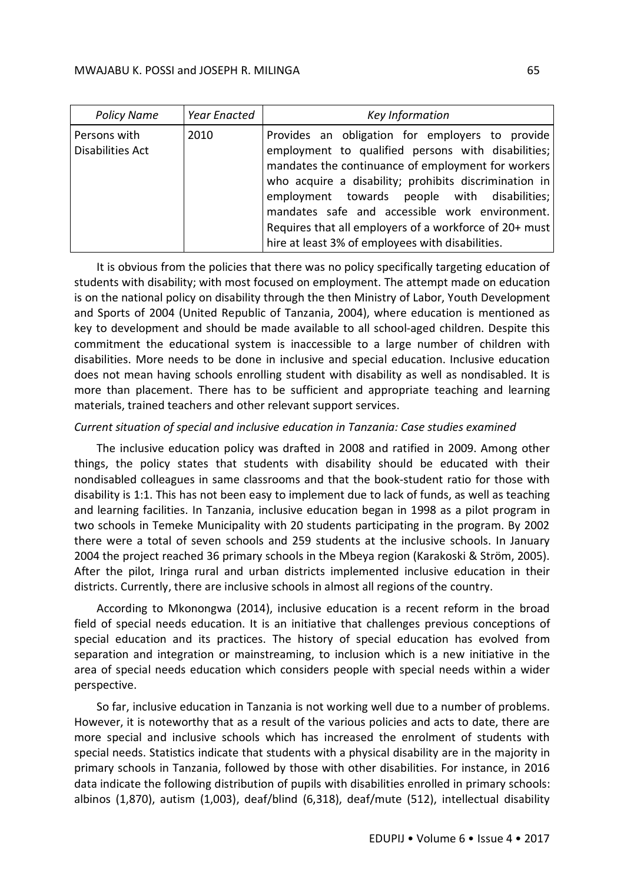| <b>Policy Name</b>               | Year Enacted | Key Information                                                                                                                                                                                                                                                                                                                                                                                                                      |
|----------------------------------|--------------|--------------------------------------------------------------------------------------------------------------------------------------------------------------------------------------------------------------------------------------------------------------------------------------------------------------------------------------------------------------------------------------------------------------------------------------|
| Persons with<br>Disabilities Act | 2010         | Provides an obligation for employers to provide<br>employment to qualified persons with disabilities;<br>mandates the continuance of employment for workers<br>who acquire a disability; prohibits discrimination in<br>employment towards people with disabilities;<br>mandates safe and accessible work environment.<br>Requires that all employers of a workforce of 20+ must<br>hire at least 3% of employees with disabilities. |

It is obvious from the policies that there was no policy specifically targeting education of students with disability; with most focused on employment. The attempt made on education is on the national policy on disability through the then Ministry of Labor, Youth Development and Sports of 2004 (United Republic of Tanzania, 2004), where education is mentioned as key to development and should be made available to all school-aged children. Despite this commitment the educational system is inaccessible to a large number of children with disabilities. More needs to be done in inclusive and special education. Inclusive education does not mean having schools enrolling student with disability as well as nondisabled. It is more than placement. There has to be sufficient and appropriate teaching and learning materials, trained teachers and other relevant support services.

# *Current situation of special and inclusive education in Tanzania: Case studies examined*

The inclusive education policy was drafted in 2008 and ratified in 2009. Among other things, the policy states that students with disability should be educated with their nondisabled colleagues in same classrooms and that the book-student ratio for those with disability is 1:1. This has not been easy to implement due to lack of funds, as well as teaching and learning facilities. In Tanzania, inclusive education began in 1998 as a pilot program in two schools in Temeke Municipality with 20 students participating in the program. By 2002 there were a total of seven schools and 259 students at the inclusive schools. In January 2004 the project reached 36 primary schools in the Mbeya region (Karakoski & Ström, 2005). After the pilot, Iringa rural and urban districts implemented inclusive education in their districts. Currently, there are inclusive schools in almost all regions of the country.

According to Mkonongwa (2014), inclusive education is a recent reform in the broad field of special needs education. It is an initiative that challenges previous conceptions of special education and its practices. The history of special education has evolved from separation and integration or mainstreaming, to inclusion which is a new initiative in the area of special needs education which considers people with special needs within a wider perspective.

So far, inclusive education in Tanzania is not working well due to a number of problems. However, it is noteworthy that as a result of the various policies and acts to date, there are more special and inclusive schools which has increased the enrolment of students with special needs. Statistics indicate that students with a physical disability are in the majority in primary schools in Tanzania, followed by those with other disabilities. For instance, in 2016 data indicate the following distribution of pupils with disabilities enrolled in primary schools: albinos (1,870), autism (1,003), deaf/blind (6,318), deaf/mute (512), intellectual disability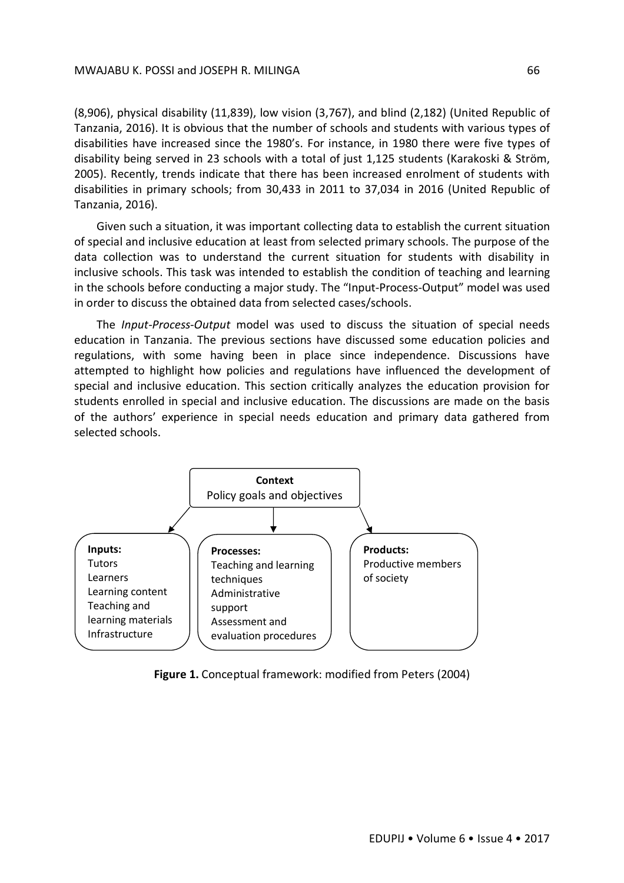(8,906), physical disability (11,839), low vision (3,767), and blind (2,182) (United Republic of Tanzania, 2016). It is obvious that the number of schools and students with various types of disabilities have increased since the 1980's. For instance, in 1980 there were five types of disability being served in 23 schools with a total of just 1,125 students (Karakoski & Ström, 2005). Recently, trends indicate that there has been increased enrolment of students with disabilities in primary schools; from 30,433 in 2011 to 37,034 in 2016 (United Republic of Tanzania, 2016).

Given such a situation, it was important collecting data to establish the current situation of special and inclusive education at least from selected primary schools. The purpose of the data collection was to understand the current situation for students with disability in inclusive schools. This task was intended to establish the condition of teaching and learning in the schools before conducting a major study. The "Input-Process-Output" model was used in order to discuss the obtained data from selected cases/schools.

The *Input-Process-Output* model was used to discuss the situation of special needs education in Tanzania. The previous sections have discussed some education policies and regulations, with some having been in place since independence. Discussions have attempted to highlight how policies and regulations have influenced the development of special and inclusive education. This section critically analyzes the education provision for students enrolled in special and inclusive education. The discussions are made on the basis of the authors' experience in special needs education and primary data gathered from selected schools.



**Figure 1.** Conceptual framework: modified from Peters (2004)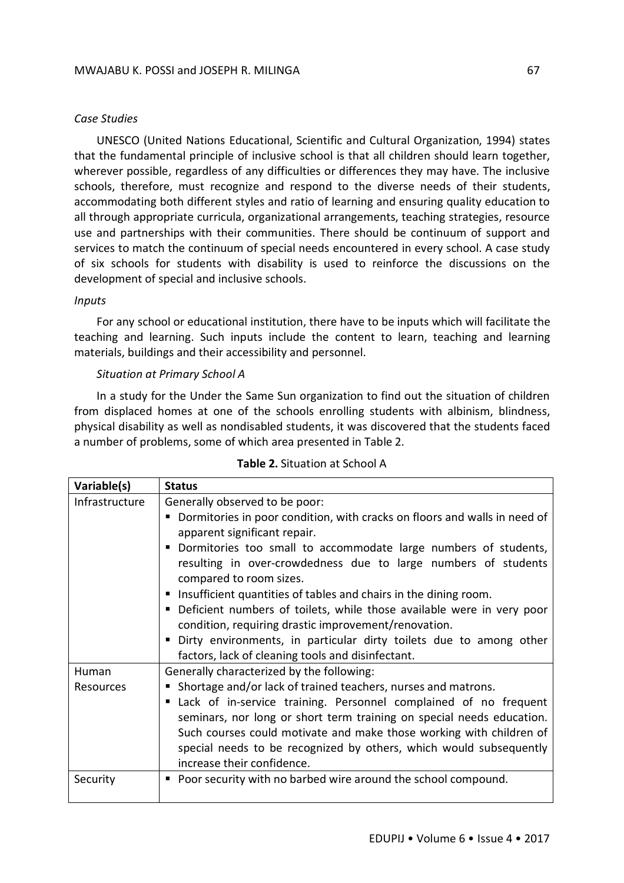# *Case Studies*

UNESCO (United Nations Educational, Scientific and Cultural Organization, 1994) states that the fundamental principle of inclusive school is that all children should learn together, wherever possible, regardless of any difficulties or differences they may have. The inclusive schools, therefore, must recognize and respond to the diverse needs of their students, accommodating both different styles and ratio of learning and ensuring quality education to all through appropriate curricula, organizational arrangements, teaching strategies, resource use and partnerships with their communities. There should be continuum of support and services to match the continuum of special needs encountered in every school. A case study of six schools for students with disability is used to reinforce the discussions on the development of special and inclusive schools.

## *Inputs*

For any school or educational institution, there have to be inputs which will facilitate the teaching and learning. Such inputs include the content to learn, teaching and learning materials, buildings and their accessibility and personnel.

## *Situation at Primary School A*

In a study for the Under the Same Sun organization to find out the situation of children from displaced homes at one of the schools enrolling students with albinism, blindness, physical disability as well as nondisabled students, it was discovered that the students faced a number of problems, some of which area presented in Table 2.

| Variable(s)    | <b>Status</b>                                                             |
|----------------|---------------------------------------------------------------------------|
| Infrastructure | Generally observed to be poor:                                            |
|                | Dormitories in poor condition, with cracks on floors and walls in need of |
|                | apparent significant repair.                                              |
|                | Dormitories too small to accommodate large numbers of students,<br>٠      |
|                | resulting in over-crowdedness due to large numbers of students            |
|                | compared to room sizes.                                                   |
|                | Insufficient quantities of tables and chairs in the dining room.          |
|                | • Deficient numbers of toilets, while those available were in very poor   |
|                | condition, requiring drastic improvement/renovation.                      |
|                | " Dirty environments, in particular dirty toilets due to among other      |
|                | factors, lack of cleaning tools and disinfectant.                         |
| Human          | Generally characterized by the following:                                 |
| Resources      | • Shortage and/or lack of trained teachers, nurses and matrons.           |
|                | Lack of in-service training. Personnel complained of no frequent          |
|                | seminars, nor long or short term training on special needs education.     |
|                | Such courses could motivate and make those working with children of       |
|                | special needs to be recognized by others, which would subsequently        |
|                | increase their confidence.                                                |
| Security       | Poor security with no barbed wire around the school compound.<br>п        |
|                |                                                                           |

## **Table 2.** Situation at School A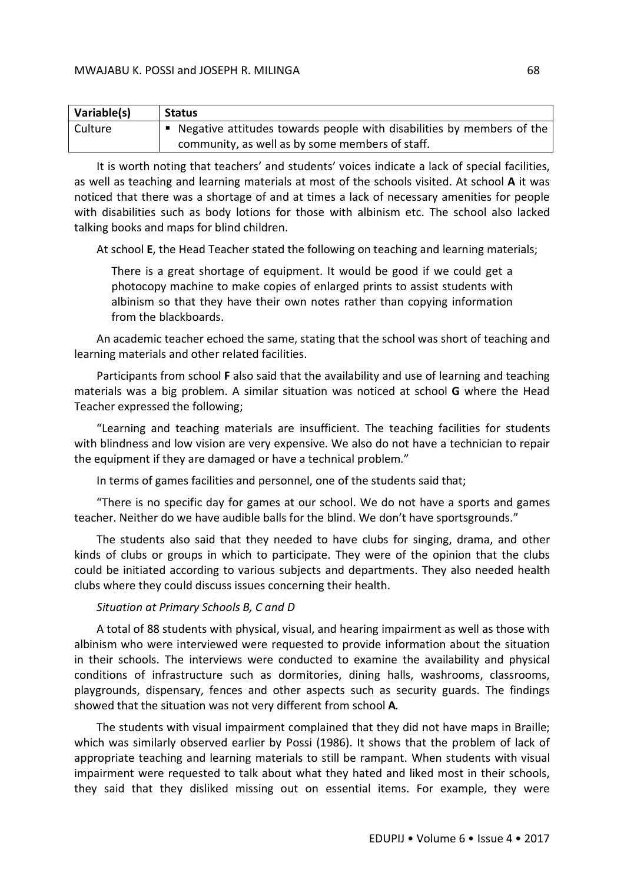| Variable(s) | <b>Status</b>                                                           |
|-------------|-------------------------------------------------------------------------|
| Culture     | ■ Negative attitudes towards people with disabilities by members of the |
|             | community, as well as by some members of staff.                         |

It is worth noting that teachers' and students' voices indicate a lack of special facilities, as well as teaching and learning materials at most of the schools visited. At school **A** it was noticed that there was a shortage of and at times a lack of necessary amenities for people with disabilities such as body lotions for those with albinism etc. The school also lacked talking books and maps for blind children.

At school **E**, the Head Teacher stated the following on teaching and learning materials;

There is a great shortage of equipment. It would be good if we could get a photocopy machine to make copies of enlarged prints to assist students with albinism so that they have their own notes rather than copying information from the blackboards.

An academic teacher echoed the same, stating that the school was short of teaching and learning materials and other related facilities.

Participants from school **F** also said that the availability and use of learning and teaching materials was a big problem. A similar situation was noticed at school **G** where the Head Teacher expressed the following;

"Learning and teaching materials are insufficient. The teaching facilities for students with blindness and low vision are very expensive. We also do not have a technician to repair the equipment if they are damaged or have a technical problem."

In terms of games facilities and personnel, one of the students said that;

"There is no specific day for games at our school. We do not have a sports and games teacher. Neither do we have audible balls for the blind. We don't have sportsgrounds."

The students also said that they needed to have clubs for singing, drama, and other kinds of clubs or groups in which to participate. They were of the opinion that the clubs could be initiated according to various subjects and departments. They also needed health clubs where they could discuss issues concerning their health.

#### *Situation at Primary Schools B, C and D*

A total of 88 students with physical, visual, and hearing impairment as well as those with albinism who were interviewed were requested to provide information about the situation in their schools. The interviews were conducted to examine the availability and physical conditions of infrastructure such as dormitories, dining halls, washrooms, classrooms, playgrounds, dispensary, fences and other aspects such as security guards. The findings showed that the situation was not very different from school **A***.*

The students with visual impairment complained that they did not have maps in Braille; which was similarly observed earlier by Possi (1986). It shows that the problem of lack of appropriate teaching and learning materials to still be rampant. When students with visual impairment were requested to talk about what they hated and liked most in their schools, they said that they disliked missing out on essential items. For example, they were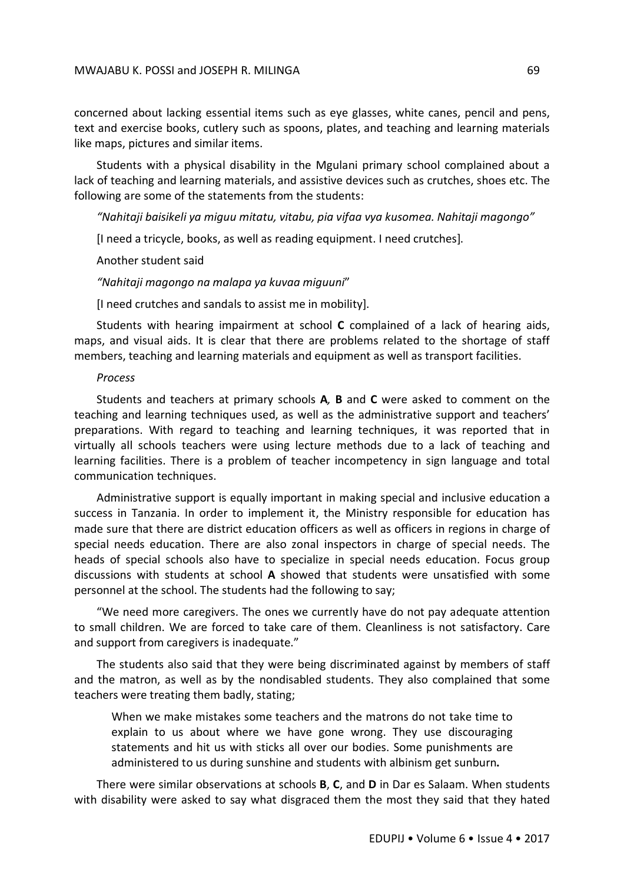concerned about lacking essential items such as eye glasses, white canes, pencil and pens, text and exercise books, cutlery such as spoons, plates, and teaching and learning materials like maps, pictures and similar items.

Students with a physical disability in the Mgulani primary school complained about a lack of teaching and learning materials, and assistive devices such as crutches, shoes etc. The following are some of the statements from the students:

*"Nahitaji baisikeli ya miguu mitatu, vitabu, pia vifaa vya kusomea. Nahitaji magongo"*

[I need a tricycle, books, as well as reading equipment. I need crutches].

Another student said

*"Nahitaji magongo na malapa ya kuvaa miguuni*"

[I need crutches and sandals to assist me in mobility].

Students with hearing impairment at school **C** complained of a lack of hearing aids, maps, and visual aids. It is clear that there are problems related to the shortage of staff members, teaching and learning materials and equipment as well as transport facilities.

#### *Process*

Students and teachers at primary schools **A***,* **B** and **C** were asked to comment on the teaching and learning techniques used, as well as the administrative support and teachers' preparations. With regard to teaching and learning techniques, it was reported that in virtually all schools teachers were using lecture methods due to a lack of teaching and learning facilities. There is a problem of teacher incompetency in sign language and total communication techniques.

Administrative support is equally important in making special and inclusive education a success in Tanzania. In order to implement it, the Ministry responsible for education has made sure that there are district education officers as well as officers in regions in charge of special needs education. There are also zonal inspectors in charge of special needs. The heads of special schools also have to specialize in special needs education. Focus group discussions with students at school **A** showed that students were unsatisfied with some personnel at the school. The students had the following to say;

"We need more caregivers. The ones we currently have do not pay adequate attention to small children. We are forced to take care of them. Cleanliness is not satisfactory. Care and support from caregivers is inadequate."

The students also said that they were being discriminated against by members of staff and the matron, as well as by the nondisabled students. They also complained that some teachers were treating them badly, stating;

When we make mistakes some teachers and the matrons do not take time to explain to us about where we have gone wrong. They use discouraging statements and hit us with sticks all over our bodies. Some punishments are administered to us during sunshine and students with albinism get sunburn**.**

There were similar observations at schools **B**, **C**, and **D** in Dar es Salaam. When students with disability were asked to say what disgraced them the most they said that they hated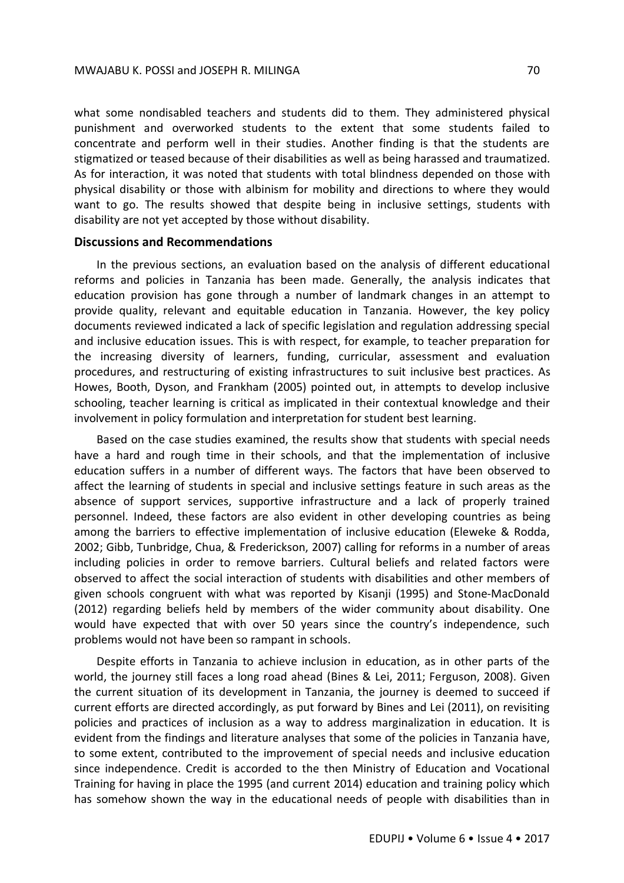what some nondisabled teachers and students did to them. They administered physical punishment and overworked students to the extent that some students failed to concentrate and perform well in their studies. Another finding is that the students are stigmatized or teased because of their disabilities as well as being harassed and traumatized. As for interaction, it was noted that students with total blindness depended on those with physical disability or those with albinism for mobility and directions to where they would want to go. The results showed that despite being in inclusive settings, students with disability are not yet accepted by those without disability.

#### **Discussions and Recommendations**

In the previous sections, an evaluation based on the analysis of different educational reforms and policies in Tanzania has been made. Generally, the analysis indicates that education provision has gone through a number of landmark changes in an attempt to provide quality, relevant and equitable education in Tanzania. However, the key policy documents reviewed indicated a lack of specific legislation and regulation addressing special and inclusive education issues. This is with respect, for example, to teacher preparation for the increasing diversity of learners, funding, curricular, assessment and evaluation procedures, and restructuring of existing infrastructures to suit inclusive best practices. As Howes, Booth, Dyson, and Frankham (2005) pointed out, in attempts to develop inclusive schooling, teacher learning is critical as implicated in their contextual knowledge and their involvement in policy formulation and interpretation for student best learning.

Based on the case studies examined, the results show that students with special needs have a hard and rough time in their schools, and that the implementation of inclusive education suffers in a number of different ways. The factors that have been observed to affect the learning of students in special and inclusive settings feature in such areas as the absence of support services, supportive infrastructure and a lack of properly trained personnel. Indeed, these factors are also evident in other developing countries as being among the barriers to effective implementation of inclusive education (Eleweke & Rodda, 2002; Gibb, Tunbridge, Chua, & Frederickson, 2007) calling for reforms in a number of areas including policies in order to remove barriers. Cultural beliefs and related factors were observed to affect the social interaction of students with disabilities and other members of given schools congruent with what was reported by Kisanji (1995) and Stone-MacDonald (2012) regarding beliefs held by members of the wider community about disability. One would have expected that with over 50 years since the country's independence, such problems would not have been so rampant in schools.

Despite efforts in Tanzania to achieve inclusion in education, as in other parts of the world, the journey still faces a long road ahead (Bines & Lei, 2011; Ferguson, 2008). Given the current situation of its development in Tanzania, the journey is deemed to succeed if current efforts are directed accordingly, as put forward by Bines and Lei (2011), on revisiting policies and practices of inclusion as a way to address marginalization in education. It is evident from the findings and literature analyses that some of the policies in Tanzania have, to some extent, contributed to the improvement of special needs and inclusive education since independence. Credit is accorded to the then Ministry of Education and Vocational Training for having in place the 1995 (and current 2014) education and training policy which has somehow shown the way in the educational needs of people with disabilities than in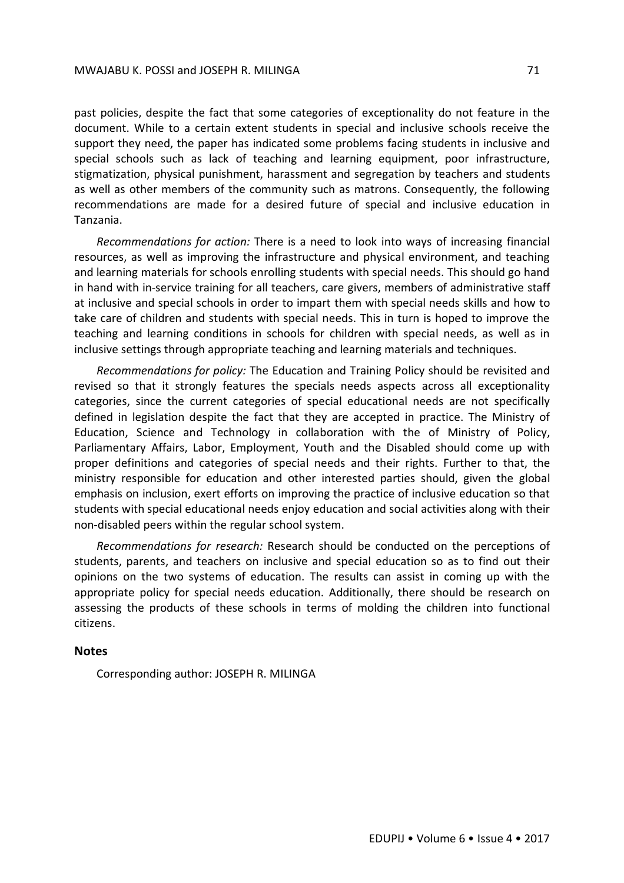past policies, despite the fact that some categories of exceptionality do not feature in the document. While to a certain extent students in special and inclusive schools receive the support they need, the paper has indicated some problems facing students in inclusive and special schools such as lack of teaching and learning equipment, poor infrastructure, stigmatization, physical punishment, harassment and segregation by teachers and students as well as other members of the community such as matrons. Consequently, the following recommendations are made for a desired future of special and inclusive education in Tanzania.

*Recommendations for action:* There is a need to look into ways of increasing financial resources, as well as improving the infrastructure and physical environment, and teaching and learning materials for schools enrolling students with special needs. This should go hand in hand with in-service training for all teachers, care givers, members of administrative staff at inclusive and special schools in order to impart them with special needs skills and how to take care of children and students with special needs. This in turn is hoped to improve the teaching and learning conditions in schools for children with special needs, as well as in inclusive settings through appropriate teaching and learning materials and techniques.

*Recommendations for policy:* The Education and Training Policy should be revisited and revised so that it strongly features the specials needs aspects across all exceptionality categories, since the current categories of special educational needs are not specifically defined in legislation despite the fact that they are accepted in practice. The Ministry of Education, Science and Technology in collaboration with the of Ministry of Policy, Parliamentary Affairs, Labor, Employment, Youth and the Disabled should come up with proper definitions and categories of special needs and their rights. Further to that, the ministry responsible for education and other interested parties should, given the global emphasis on inclusion, exert efforts on improving the practice of inclusive education so that students with special educational needs enjoy education and social activities along with their non-disabled peers within the regular school system.

*Recommendations for research:* Research should be conducted on the perceptions of students, parents, and teachers on inclusive and special education so as to find out their opinions on the two systems of education. The results can assist in coming up with the appropriate policy for special needs education. Additionally, there should be research on assessing the products of these schools in terms of molding the children into functional citizens.

## **Notes**

Corresponding author: JOSEPH R. MILINGA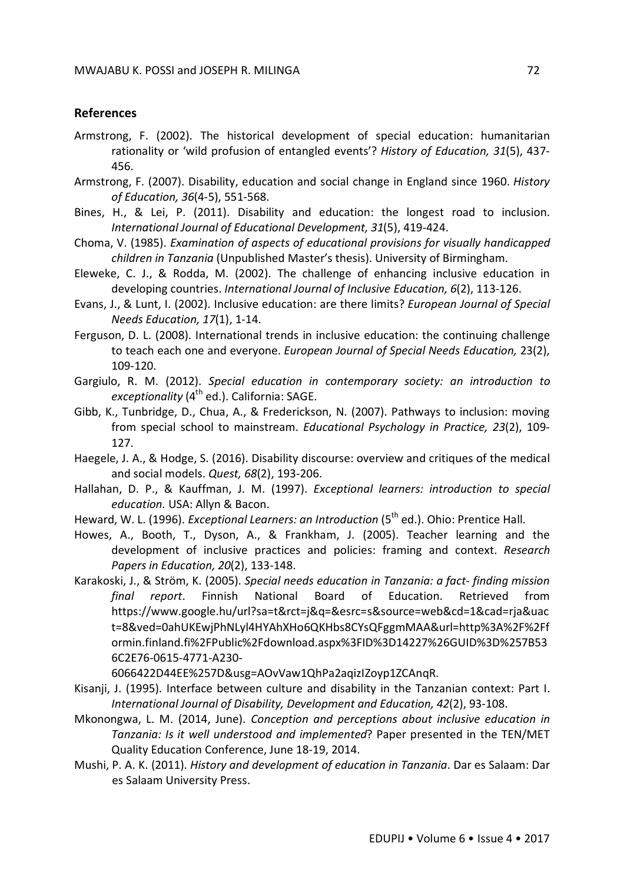# **References**

- Armstrong, F. (2002). The historical development of special education: humanitarian rationality or 'wild profusion of entangled events'? *History of Education, 31*(5), 437- 456.
- Armstrong, F. (2007). Disability, education and social change in England since 1960. *History of Education, 36*(4-5), 551-568.
- Bines, H., & Lei, P. (2011). Disability and education: the longest road to inclusion. *International Journal of Educational Development, 31*(5), 419-424.
- Choma, V. (1985). *Examination of aspects of educational provisions for visually handicapped children in Tanzania* (Unpublished Master's thesis). University of Birmingham.
- Eleweke, C. J., & Rodda, M. (2002). The challenge of enhancing inclusive education in developing countries. *International Journal of Inclusive Education, 6*(2), 113-126.
- Evans, J., & Lunt, I. (2002). Inclusive education: are there limits? *European Journal of Special Needs Education, 17*(1), 1-14.
- Ferguson, D. L. (2008). International trends in inclusive education: the continuing challenge to teach each one and everyone. *European Journal of Special Needs Education,* 23(2), 109-120.
- Gargiulo, R. M. (2012). *Special education in contemporary society: an introduction to exceptionality* (4<sup>th</sup> ed.). California: SAGE.
- Gibb, K., Tunbridge, D., Chua, A., & Frederickson, N. (2007). Pathways to inclusion: moving from special school to mainstream. *Educational Psychology in Practice, 23*(2), 109- 127.
- Haegele, J. A., & Hodge, S. (2016). Disability discourse: overview and critiques of the medical and social models. *Quest, 68*(2), 193-206.
- Hallahan, D. P., & Kauffman, J. M. (1997). *Exceptional learners: introduction to special education.* USA: Allyn & Bacon.
- Heward, W. L. (1996). *Exceptional Learners: an Introduction* (5<sup>th</sup> ed.). Ohio: Prentice Hall.
- Howes, A., Booth, T., Dyson, A., & Frankham, J. (2005). Teacher learning and the development of inclusive practices and policies: framing and context. *Research Papers in Education, 20*(2), 133-148.
- Karakoski, J., & Ström, K. (2005). *Special needs education in Tanzania: a fact- finding mission final report*. Finnish National Board of Education. Retrieved from https://www.google.hu/url?sa=t&rct=j&q=&esrc=s&source=web&cd=1&cad=rja&uac t=8&ved=0ahUKEwjPhNLyl4HYAhXHo6QKHbs8CYsQFggmMAA&url=http%3A%2F%2Ff ormin.finland.fi%2FPublic%2Fdownload.aspx%3FID%3D14227%26GUID%3D%257B53 6C2E76-0615-4771-A230-

6066422D44EE%257D&usg=AOvVaw1QhPa2aqizIZoyp1ZCAnqR.

- Kisanji, J. (1995). Interface between culture and disability in the Tanzanian context: Part I. *International Journal of Disability, Development and Education, 42*(2), 93-108.
- Mkonongwa, L. M. (2014, June). *Conception and perceptions about inclusive education in Tanzania: Is it well understood and implemented*? Paper presented in the TEN/MET Quality Education Conference, June 18-19, 2014.
- Mushi, P. A. K. (2011). *History and development of education in Tanzania*. Dar es Salaam: Dar es Salaam University Press.